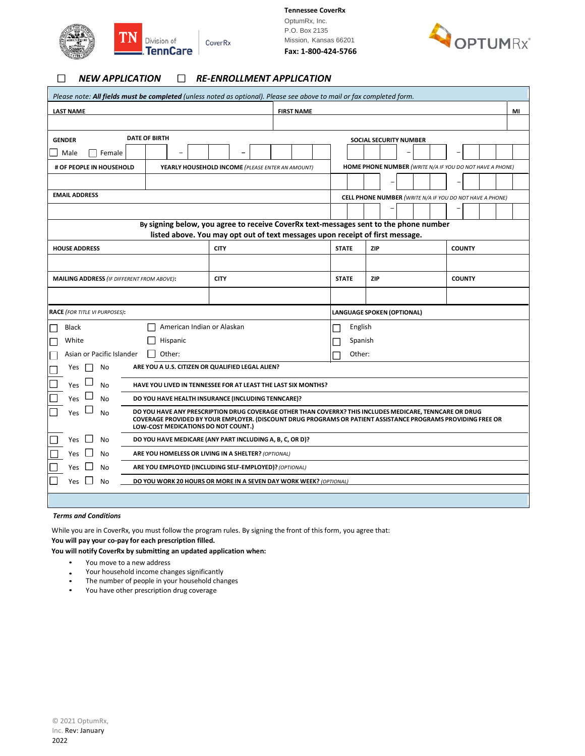



### *NEW APPLICATION* □ *RE-ENROLLMENT APPLICATION*  $\Box$

| Please note: All fields must be completed (unless noted as optional). Please see above to mail or fax completed form.                                                                                                                                                       |                                                               |  |                                                                                       |                                                                 |                                                                 |               |    |               |  |  |  |
|-----------------------------------------------------------------------------------------------------------------------------------------------------------------------------------------------------------------------------------------------------------------------------|---------------------------------------------------------------|--|---------------------------------------------------------------------------------------|-----------------------------------------------------------------|-----------------------------------------------------------------|---------------|----|---------------|--|--|--|
| <b>LAST NAME</b>                                                                                                                                                                                                                                                            | <b>FIRST NAME</b>                                             |  |                                                                                       |                                                                 |                                                                 |               | MI |               |  |  |  |
|                                                                                                                                                                                                                                                                             |                                                               |  |                                                                                       |                                                                 |                                                                 |               |    |               |  |  |  |
| <b>DATE OF BIRTH</b><br><b>GENDER</b>                                                                                                                                                                                                                                       |                                                               |  |                                                                                       |                                                                 | SOCIAL SECURITY NUMBER                                          |               |    |               |  |  |  |
| Male<br>Female                                                                                                                                                                                                                                                              | -                                                             |  |                                                                                       |                                                                 |                                                                 |               |    |               |  |  |  |
| # OF PEOPLE IN HOUSEHOLD<br>YEARLY HOUSEHOLD INCOME (PLEASE ENTER AN AMOUNT)                                                                                                                                                                                                |                                                               |  |                                                                                       |                                                                 | <b>HOME PHONE NUMBER</b> (WRITE N/A IF YOU DO NOT HAVE A PHONE) |               |    |               |  |  |  |
|                                                                                                                                                                                                                                                                             |                                                               |  |                                                                                       |                                                                 |                                                                 |               |    |               |  |  |  |
| <b>EMAIL ADDRESS</b>                                                                                                                                                                                                                                                        |                                                               |  |                                                                                       | <b>CELL PHONE NUMBER</b> (WRITE N/A IF YOU DO NOT HAVE A PHONE) |                                                                 |               |    |               |  |  |  |
|                                                                                                                                                                                                                                                                             |                                                               |  |                                                                                       |                                                                 |                                                                 |               |    |               |  |  |  |
|                                                                                                                                                                                                                                                                             |                                                               |  | By signing below, you agree to receive CoverRx text-messages sent to the phone number |                                                                 |                                                                 |               |    |               |  |  |  |
| listed above. You may opt out of text messages upon receipt of first message.                                                                                                                                                                                               |                                                               |  |                                                                                       |                                                                 |                                                                 |               |    |               |  |  |  |
| <b>HOUSE ADDRESS</b>                                                                                                                                                                                                                                                        | <b>CITY</b>                                                   |  |                                                                                       | <b>STATE</b>                                                    | <b>ZIP</b>                                                      |               |    | <b>COUNTY</b> |  |  |  |
|                                                                                                                                                                                                                                                                             |                                                               |  |                                                                                       |                                                                 |                                                                 |               |    |               |  |  |  |
| <b>CITY</b><br><b>MAILING ADDRESS</b> (IF DIFFERENT FROM ABOVE):                                                                                                                                                                                                            |                                                               |  |                                                                                       | <b>STATE</b>                                                    | <b>ZIP</b>                                                      | <b>COUNTY</b> |    |               |  |  |  |
|                                                                                                                                                                                                                                                                             |                                                               |  |                                                                                       |                                                                 |                                                                 |               |    |               |  |  |  |
| <b>RACE</b> (FOR TITLE VI PURPOSES):                                                                                                                                                                                                                                        |                                                               |  | <b>LANGUAGE SPOKEN (OPTIONAL)</b>                                                     |                                                                 |                                                                 |               |    |               |  |  |  |
| American Indian or Alaskan<br><b>Black</b>                                                                                                                                                                                                                                  |                                                               |  |                                                                                       | English                                                         |                                                                 |               |    |               |  |  |  |
| White<br>Hispanic                                                                                                                                                                                                                                                           |                                                               |  |                                                                                       | Spanish                                                         |                                                                 |               |    |               |  |  |  |
| Asian or Pacific Islander<br>Other:                                                                                                                                                                                                                                         |                                                               |  |                                                                                       | Other:                                                          |                                                                 |               |    |               |  |  |  |
| Yes<br>No                                                                                                                                                                                                                                                                   | ARE YOU A U.S. CITIZEN OR QUALIFIED LEGAL ALIEN?              |  |                                                                                       |                                                                 |                                                                 |               |    |               |  |  |  |
| Yes<br><b>No</b>                                                                                                                                                                                                                                                            | HAVE YOU LIVED IN TENNESSEE FOR AT LEAST THE LAST SIX MONTHS? |  |                                                                                       |                                                                 |                                                                 |               |    |               |  |  |  |
| Yes<br>No                                                                                                                                                                                                                                                                   | DO YOU HAVE HEALTH INSURANCE (INCLUDING TENNCARE)?            |  |                                                                                       |                                                                 |                                                                 |               |    |               |  |  |  |
| DO YOU HAVE ANY PRESCRIPTION DRUG COVERAGE OTHER THAN COVERRX? THIS INCLUDES MEDICARE, TENNCARE OR DRUG<br>Yes<br>No<br>COVERAGE PROVIDED BY YOUR EMPLOYER. (DISCOUNT DRUG PROGRAMS OR PATIENT ASSISTANCE PROGRAMS PROVIDING FREE OR<br>LOW-COST MEDICATIONS DO NOT COUNT.) |                                                               |  |                                                                                       |                                                                 |                                                                 |               |    |               |  |  |  |
| No<br>Yes                                                                                                                                                                                                                                                                   | DO YOU HAVE MEDICARE (ANY PART INCLUDING A, B, C, OR D)?      |  |                                                                                       |                                                                 |                                                                 |               |    |               |  |  |  |
| Yes<br>No                                                                                                                                                                                                                                                                   | ARE YOU HOMELESS OR LIVING IN A SHELTER? (OPTIONAL)           |  |                                                                                       |                                                                 |                                                                 |               |    |               |  |  |  |
| Yes<br>No<br>ARE YOU EMPLOYED (INCLUDING SELF-EMPLOYED)? (OPTIONAL)                                                                                                                                                                                                         |                                                               |  |                                                                                       |                                                                 |                                                                 |               |    |               |  |  |  |
| Yes<br>No<br>DO YOU WORK 20 HOURS OR MORE IN A SEVEN DAY WORK WEEK? (OPTIONAL)                                                                                                                                                                                              |                                                               |  |                                                                                       |                                                                 |                                                                 |               |    |               |  |  |  |
|                                                                                                                                                                                                                                                                             |                                                               |  |                                                                                       |                                                                 |                                                                 |               |    |               |  |  |  |

### *Terms and Conditions*

While you are in CoverRx, you must follow the program rules. By signing the front of this form, you agree that:

**You will pay your co-pay for each prescription filled.**

**You will notify CoverRx by submitting an updated application when:**

- You move to a new address
- Your household income changes significantly<br>• The number of people in your household change
- The number of people in your household changes<br>• You have other prescription drug coverage
- You have other prescription drug coverage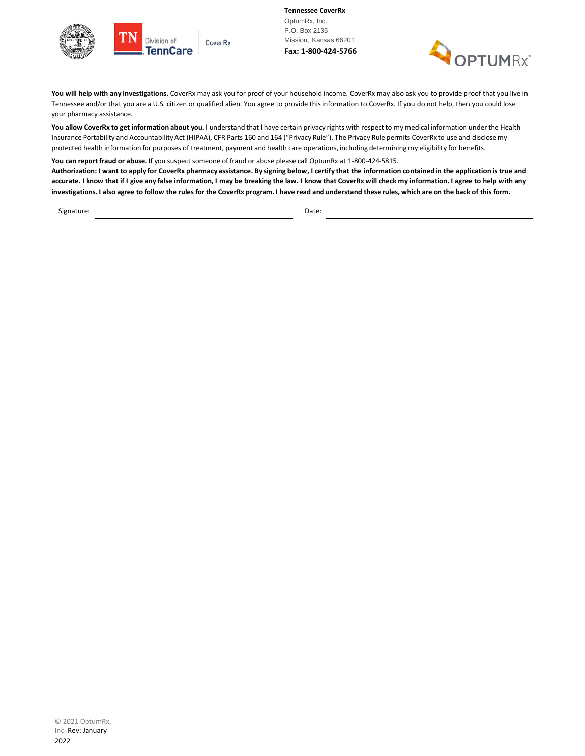



**You will help with any investigations.** CoverRx may ask you for proof of your household income. CoverRx may also ask you to provide proof that you live in Tennessee and/or that you are a U.S. citizen or qualified alien. You agree to provide this information to CoverRx. If you do not help, then you could lose your pharmacy assistance.

**You allow CoverRx to get information about you.** I understand that I have certain privacy rights with respect to my medical information under the Health Insurance Portability and Accountability Act (HIPAA), CFR Parts 160 and 164 ("Privacy Rule"). The Privacy Rule permits CoverRx to use and disclose my protected health information for purposes of treatment, payment and health care operations, including determining my eligibility for benefits.

**You can report fraud or abuse.** If you suspect someone of fraud or abuse please call OptumRx at 1-800-424-5815.

**Authorization: I want to apply for CoverRx pharmacy assistance. By signing below, I certify that the information contained in the application is true and accurate. I know that if I give any false information, I may be breaking the law. I know that CoverRx will check my information. I agree to help with any investigations. I also agree to follow the rules for the CoverRx program. I have read and understand these rules, which are on the back of this form.**

Signature: Date: Date: Date: Date: Date: Date: Date: Date: Date: Date: Date: Date: Date: Date: Date: Date: Date: Date: Date: Date: Date: Date: Date: Date: Date: Date: Date: Date: Date: Date: Date: Date: Date: Date: Date: D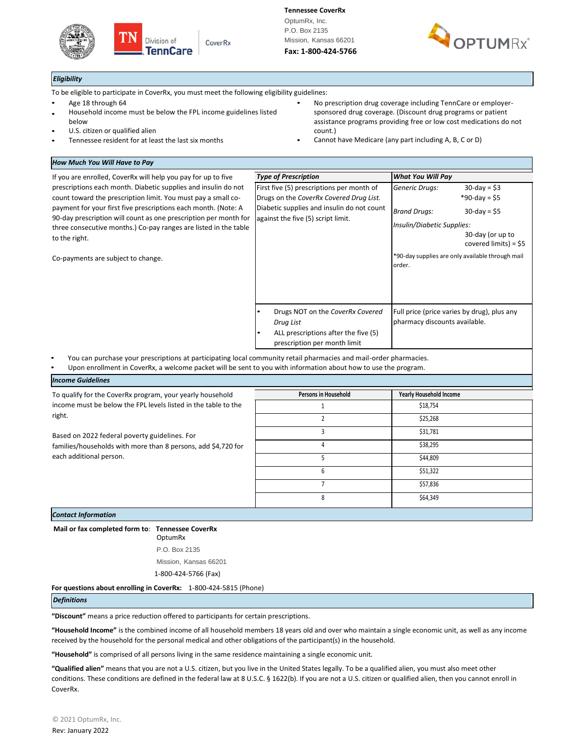





### *Eligibility*

| To be eligible to participate in CoverRx, you must meet the following eligibility guidelines: |
|-----------------------------------------------------------------------------------------------|
|                                                                                               |
|                                                                                               |

CoverRx

- Age 18 through 64
- Household income must be below the FPL income guidelines listed below
- U.S. citizen or qualified alien
- Tennessee resident for at least the last six months

### *How Much You Will Have to Pay*

Co-payments are subject to change.

- No prescription drug coverage including TennCare or employersponsored drug coverage. (Discount drug programs or patient assistance programs providing free or low cost medications do not count.)
- Cannot have Medicare (any part including A, B, C or D)

| <b>Type of Prescription</b>                                                                                                     | <b>What You Will Pay</b>                                                                 |                                            |  |  |
|---------------------------------------------------------------------------------------------------------------------------------|------------------------------------------------------------------------------------------|--------------------------------------------|--|--|
| First five (5) prescriptions per month of                                                                                       | <b>Generic Drugs:</b>                                                                    | $30$ -day = \$3                            |  |  |
| Drugs on the CoverRx Covered Drug List.                                                                                         |                                                                                          | $*90$ -day = \$5                           |  |  |
| Diabetic supplies and insulin do not count                                                                                      | <b>Brand Drugs:</b>                                                                      | $30$ -day = \$5                            |  |  |
| against the five (5) script limit.                                                                                              | Insulin/Diabetic Supplies:<br>*90-day supplies are only available through mail<br>order. | 30-day (or up to<br>covered limits) = $$5$ |  |  |
| Drugs NOT on the CoverRx Covered<br>٠<br>Drug List<br>ALL prescriptions after the five (5)<br>٠<br>prescription per month limit | Full price (price varies by drug), plus any<br>pharmacy discounts available.             |                                            |  |  |
|                                                                                                                                 |                                                                                          |                                            |  |  |

• You can purchase your prescriptions at participating local community retail pharmacies and mail-order pharmacies.

• Upon enrollment in CoverRx, a welcome packet will be sent to you with information about how to use the program.

| <b>Income Guidelines</b>                                                                 |                             |                         |  |  |  |
|------------------------------------------------------------------------------------------|-----------------------------|-------------------------|--|--|--|
| To qualify for the CoverRx program, your yearly household                                | <b>Persons in Household</b> | Yearly Household Income |  |  |  |
| income must be below the FPL levels listed in the table to the                           |                             | \$18,754                |  |  |  |
| right.                                                                                   |                             | \$25,268                |  |  |  |
| Based on 2022 federal poverty guidelines. For                                            | 3                           | \$31,781                |  |  |  |
| families/households with more than 8 persons, add \$4,720 for<br>each additional person. | 4                           | \$38,295                |  |  |  |
|                                                                                          | 5                           | \$44,809                |  |  |  |
|                                                                                          | 6                           | \$51,322                |  |  |  |
|                                                                                          |                             | \$57,836                |  |  |  |
|                                                                                          | 8                           | \$64,349                |  |  |  |
| <b>Contact Information</b>                                                               |                             |                         |  |  |  |

**Mail or fax completed form to**: **Tennessee CoverRx** 

OptumRx P.O. Box 2135 Mission, Kansas 66201

1-800-424-5766 (Fax)

**For questions about enrolling in CoverRx:** 1-800-424-5815 (Phone)

*Definitions*

**"Discount"** means a price reduction offered to participants for certain prescriptions.

**"Household Income"** is the combined income of all household members 18 years old and over who maintain a single economic unit, as well as any income received by the household for the personal medical and other obligations of the participant(s) in the household.

**"Household"** is comprised of all persons living in the same residence maintaining a single economic unit.

**"Qualified alien"** means that you are not a U.S. citizen, but you live in the United States legally. To be a qualified alien, you must also meet other conditions. These conditions are defined in the federal law at 8 U.S.C. § 1622(b). If you are not a U.S. citizen or qualified alien, then you cannot enroll in CoverRx.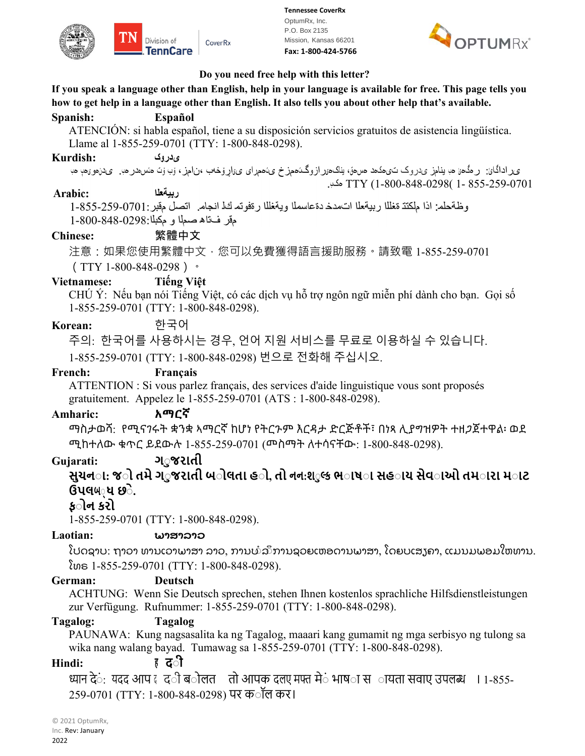



### **Do you need free help with this letter?**

**If you speak a language other than English, help in your language is available for free. This page tells you how to get help in a language other than English. It also tells you about other help that's available.**

# **Spanish: Español**

ATENCIÓN: si habla español, tiene a su disposición servicios gratuitos de asistencia lingüística. Llame al 1-855-259-0701 (TTY: 1-800-848-0298).

### **ردی وک :Kurdish**

ی راداگائ: ر مگحن مبا ينامز یدروک ت،عکامد مسامق، يناکحىر ازوگــناممزخ ینممرای ی،اړۆخەب ،نامز ، وب وْت منس در مبا ی دن مو یام مبا 855-259-0701 1- )1-800-848-0298) TTY ەکب.

### Arabic:

وظةحلم: اذا ملكتة ةغللا ربيةعلا اتمدخ دةعاسملا ويةغللا رةفوتم كذ انجام. اتصل مقبر :0701-259-259-1 

### **Chinese:** 繁體中文

注意:如果您使用繁體中文,您可以免費獲得語言援助服務。請致電 1-855-259-0701 (TTY 1-800-848-0298)。

### **Vietnamese: Tiếng Việt**

CHÚ Ý: Nếu bạn nói Tiếng Việt, có các dịch vụ hỗ trợ ngôn ngữ miễn phí dành cho bạn. Gọi số 1-855-259-0701 (TTY: 1-800-848-0298).

# **Korean:** 한국어

ر بية عذا

주의: 한국어를 사용하시는 경우, 언어 지원 서비스를 무료로 이용하실 수 있습니다. 1-855-259-0701 (TTY: 1-800-848-0298) 번으로 전화해 주십시오.

### **French: Français**

ATTENTION : Si vous parlez français, des services d'aide linguistique vous sont proposés gratuitement. Appelez le 1-855-259-0701 (ATS : 1-800-848-0298).

# **Amharic: አማርኛ**

ማስታወሻ: የሚናገሩት ቋንቋ ኣማርኛ ከሆነ የትርጉም እርዳታ ድርጅቶች፣ በነጻ ሊያግዝዎት ተዘጋጀተዋል፡ ወደ ሚከተለው ቁጥር ይደውሉ 1-855-259-0701 (መስማት ለተሳናቸው: 1-800-848-0298).

# **Gujarati: ગ◌ુજરાતી**

**સુચન◌ા: જ◌ો તમેગ◌ુજરાતી બ◌ોલતા હ◌ો, તો નન:શ◌ુճક ભ◌ાષ◌ા સહ◌ાય સેવ◌ાઓ તમ◌ારા મ◌ાટ ઉપલબ◌્ધ છ◌ે.**

# **ફ◌ોન કરો**

1-855-259-0701 (TTY: 1-800-848-0298).

# **Laotian: ພາສາລາວ**

ໂປດຊາບ: ຖາວາ ທານເວາພາສາ ລາວ, ການບໍລິການຊວຍເຫອດານພາສາ, ໂດຍບເສງຄາ, ແມນມພອມໃຫທານ. ໂທຣ 1-855-259-0701 (TTY: 1-800-848-0298).

# **German: Deutsch**

ACHTUNG: Wenn Sie Deutsch sprechen, stehen Ihnen kostenlos sprachliche Hilfsdienstleistungen zur Verfügung. Rufnummer: 1-855-259-0701 (TTY: 1-800-848-0298).

## **Tagalog: Tagalog**

PAUNAWA: Kung nagsasalita ka ng Tagalog, maaari kang gumamit ng mga serbisyo ng tulong sa wika nang walang bayad. Tumawag sa 1-855-259-0701 (TTY: 1-800-848-0298).

# **Hindi: <sup>ह</sup> द◌ी**

ध्यान दे**ं: यदद आप द**ी ब**ोलत ) तो आपक दलए मफ्त मे**ं भाष**ा स ायता सवाए उपलब्ध । 1-855-**259-0701 (TTY: 1-800-848-0298) पर क◌ॉल कर।